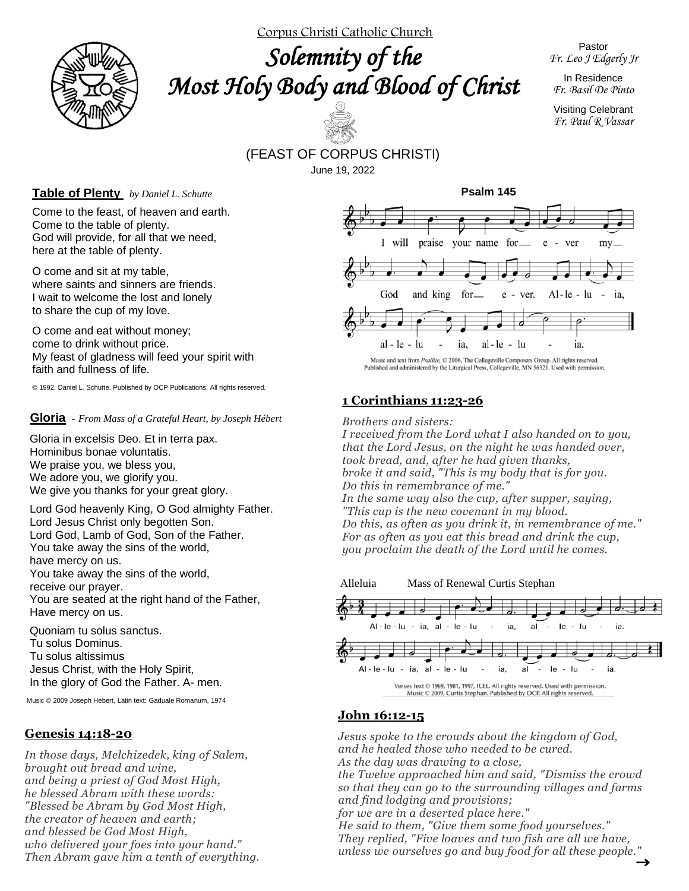

Corpus Christi Catholic Church

*Solemnity of the Most Holy Body and Blood of Christ* 

Pastor *Fr. Leo J Edgerly Jr*

In Residence *Fr. Basil De Pinto*

Visiting Celebrant *Fr. Paul R Vassar*

## (FEAST OF CORPUS CHRISTI) June 19, 2022

#### **Table of Plenty** *by Daniel L. Schutte*

Come to the feast, of heaven and earth. Come to the table of plenty. God will provide, for all that we need, here at the table of plenty.

O come and sit at my table, where saints and sinners are friends. I wait to welcome the lost and lonely to share the cup of my love.

O come and eat without money; come to drink without price. My feast of gladness will feed your spirit with faith and fullness of life.

© 1992, Daniel L. Schutte. Published by OCP Publications. All rights reserved.

#### **Gloria -** *From Mass of a Grateful Heart, by Joseph Hébert*

Gloria in excelsis Deo. Et in terra pax. Hominibus bonae voluntatis. We praise you, we bless you, We adore you, we glorify you. We give you thanks for your great glory.

Lord God heavenly King, O God almighty Father. Lord Jesus Christ only begotten Son. Lord God, Lamb of God, Son of the Father. You take away the sins of the world, have mercy on us. You take away the sins of the world, receive our prayer. You are seated at the right hand of the Father, Have mercy on us.

Quoniam tu solus sanctus. Tu solus Dominus. Tu solus altissimus Jesus Christ, with the Holy Spirit, In the glory of God the Father. A- men.

Music © 2009 Joseph Hebert, Latin text: Gaduale Romanum, 1974

### **Genesis 14:18-20**

*In those days, Melchizedek, king of Salem, brought out bread and wine, and being a priest of God Most High, he blessed Abram with these words: "Blessed be Abram by God Most High, the creator of heaven and earth; and blessed be God Most High, who delivered your foes into your hand." Then Abram gave him a tenth of everything.*



Music and text from Psallite, © 2006, The Collegeville Composers Group. All rights reserved. Published and administered by the Liturgical Press, Collegeville, MN 56321. Used with permission.

## **1 Corinthians 11:23-26**

*Brothers and sisters:*

 *Do this in remembrance of me." I received from the Lord what I also handed on to you, that the Lord Jesus, on the night he was handed over, took bread, and, after he had given thanks, broke it and said, "This is my body that is for you. In the same way also the cup, after supper, saying, "This cup is the new covenant in my blood. Do this, as often as you drink it, in remembrance of me." For as often as you eat this bread and drink the cup, you proclaim the death of the Lord until he comes.*



## **John 16:12-15**

*Jesus spoke to the crowds about the kingdom of God, and he healed those who needed to be cured. As the day was drawing to a close,*

*the Twelve approached him and said, "Dismiss the crowd so that they can go to the surrounding villages and farms and find lodging and provisions;*

*for we are in a deserted place here."*

*He said to them, "Give them some food yourselves." They replied, "Five loaves and two fish are all we have, unless we ourselves go and buy food for all these people."*